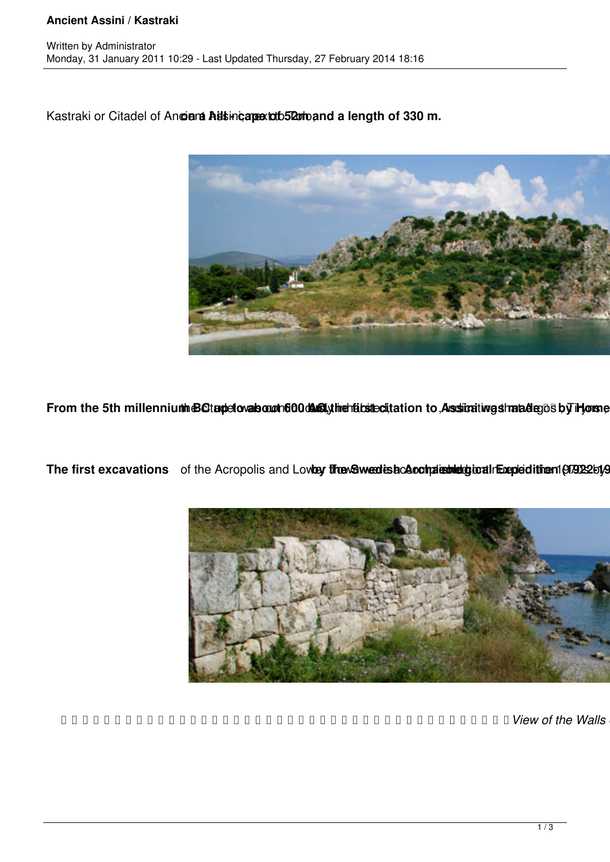## **Ancient Assini / Kastraki**

Kastraki or Citadel of Ancient Assimi, apext to b52m band a length of 330 m.



From the 5th millennium BC tapetovals out 600 das ly inchibited tation to Assimating shated ends by impose

The first excavations of the Acropolis and Lovbey threw Suved is acamated detection (97922by



 *View of the Walls of Assini*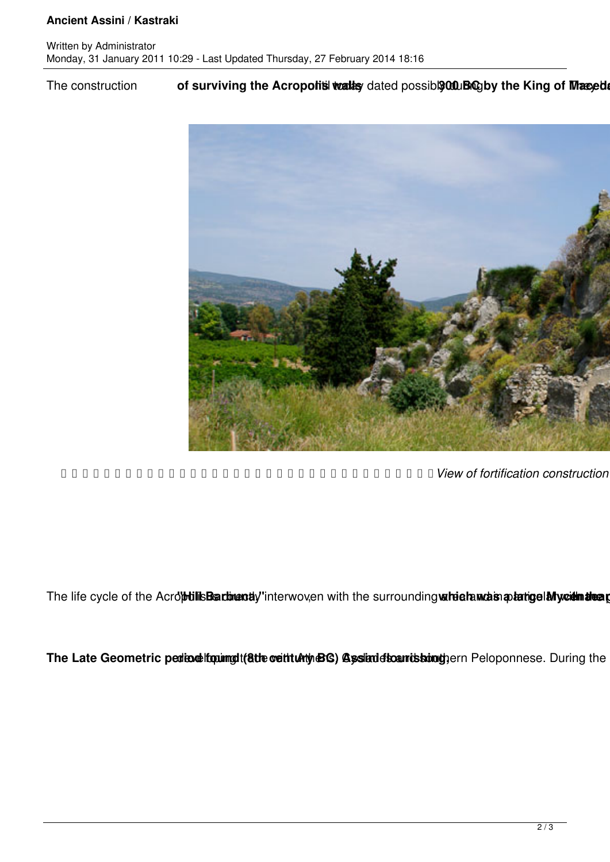## **Ancient Assini / Kastraki**

The construction of surviving the Acropolis valley dated possible 0.0 Ling of Manuel



 *View of fortification construction of Italians*

The life cycle of the AcrobilisBartimenty'interwoven with the surrounding wirindramas a batige Mycelin theat

The Late Geometric pediodelfopungdi(atte cettualty BG) Assinde to antistion the neloponnese. During the